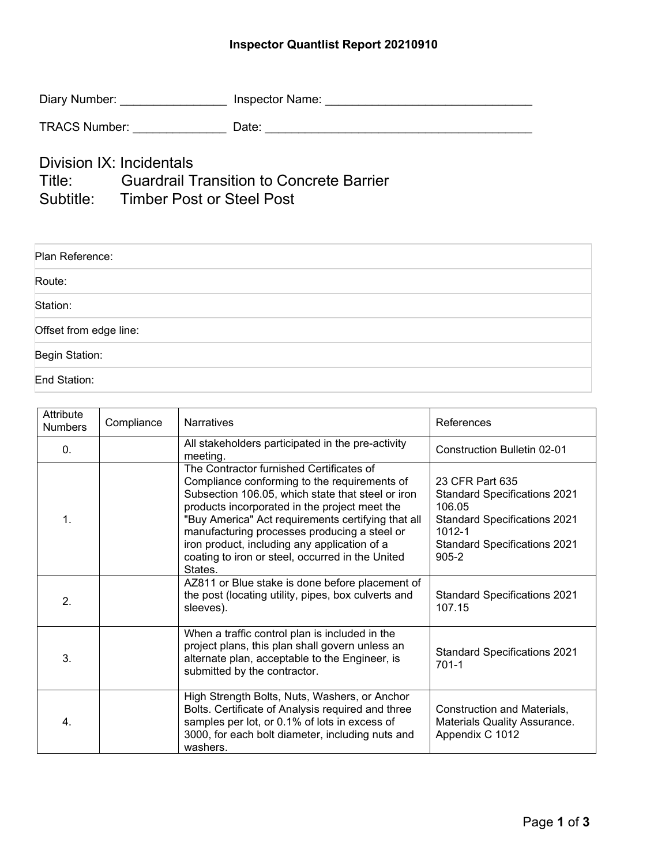## **Inspector Quantlist Report 20210910**

| Diary Number:        | Inspector Name: |
|----------------------|-----------------|
| <b>TRACS Number:</b> | Date:           |

Division IX: Incidentals<br>Title: Guardrail T **Guardrail Transition to Concrete Barrier** Subtitle: Timber Post or Steel Post

| Plan Reference:        |
|------------------------|
| Route:                 |
| Station:               |
| Offset from edge line: |
| Begin Station:         |
| End Station:           |

| Attribute<br><b>Numbers</b> | Compliance | <b>Narratives</b>                                                                                                                                                                                                                                                                                                                                                                                                   | References                                                                                                                                                            |
|-----------------------------|------------|---------------------------------------------------------------------------------------------------------------------------------------------------------------------------------------------------------------------------------------------------------------------------------------------------------------------------------------------------------------------------------------------------------------------|-----------------------------------------------------------------------------------------------------------------------------------------------------------------------|
| $\mathbf{0}$ .              |            | All stakeholders participated in the pre-activity<br>meeting.                                                                                                                                                                                                                                                                                                                                                       | Construction Bulletin 02-01                                                                                                                                           |
| 1.                          |            | The Contractor furnished Certificates of<br>Compliance conforming to the requirements of<br>Subsection 106.05, which state that steel or iron<br>products incorporated in the project meet the<br>"Buy America" Act requirements certifying that all<br>manufacturing processes producing a steel or<br>iron product, including any application of a<br>coating to iron or steel, occurred in the United<br>States. | 23 CFR Part 635<br><b>Standard Specifications 2021</b><br>106.05<br><b>Standard Specifications 2021</b><br>1012-1<br><b>Standard Specifications 2021</b><br>$905 - 2$ |
| $\mathbf{2}$                |            | AZ811 or Blue stake is done before placement of<br>the post (locating utility, pipes, box culverts and<br>sleeves).                                                                                                                                                                                                                                                                                                 | <b>Standard Specifications 2021</b><br>107.15                                                                                                                         |
| 3.                          |            | When a traffic control plan is included in the<br>project plans, this plan shall govern unless an<br>alternate plan, acceptable to the Engineer, is<br>submitted by the contractor.                                                                                                                                                                                                                                 | <b>Standard Specifications 2021</b><br>$701 - 1$                                                                                                                      |
| 4.                          |            | High Strength Bolts, Nuts, Washers, or Anchor<br>Bolts. Certificate of Analysis required and three<br>samples per lot, or 0.1% of lots in excess of<br>3000, for each bolt diameter, including nuts and<br>washers.                                                                                                                                                                                                 | Construction and Materials,<br>Materials Quality Assurance.<br>Appendix C 1012                                                                                        |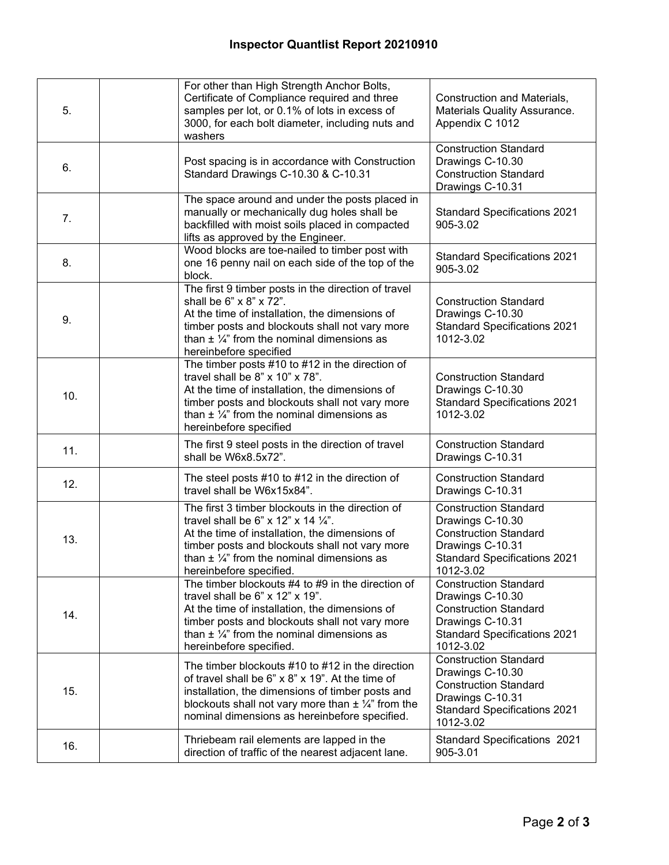| 5.  | For other than High Strength Anchor Bolts,<br>Certificate of Compliance required and three<br>samples per lot, or 0.1% of lots in excess of<br>3000, for each bolt diameter, including nuts and<br>washers                                                                          | Construction and Materials,<br>Materials Quality Assurance.<br>Appendix C 1012                                                                           |
|-----|-------------------------------------------------------------------------------------------------------------------------------------------------------------------------------------------------------------------------------------------------------------------------------------|----------------------------------------------------------------------------------------------------------------------------------------------------------|
| 6.  | Post spacing is in accordance with Construction<br>Standard Drawings C-10.30 & C-10.31                                                                                                                                                                                              | <b>Construction Standard</b><br>Drawings C-10.30<br><b>Construction Standard</b><br>Drawings C-10.31                                                     |
| 7.  | The space around and under the posts placed in<br>manually or mechanically dug holes shall be<br>backfilled with moist soils placed in compacted<br>lifts as approved by the Engineer.                                                                                              | <b>Standard Specifications 2021</b><br>905-3.02                                                                                                          |
| 8.  | Wood blocks are toe-nailed to timber post with<br>one 16 penny nail on each side of the top of the<br>block.                                                                                                                                                                        | <b>Standard Specifications 2021</b><br>905-3.02                                                                                                          |
| 9.  | The first 9 timber posts in the direction of travel<br>shall be 6" x 8" x 72".<br>At the time of installation, the dimensions of<br>timber posts and blockouts shall not vary more<br>than $\pm$ 1/4" from the nominal dimensions as<br>hereinbefore specified                      | <b>Construction Standard</b><br>Drawings C-10.30<br><b>Standard Specifications 2021</b><br>1012-3.02                                                     |
| 10. | The timber posts $#10$ to $#12$ in the direction of<br>travel shall be 8" x 10" x 78".<br>At the time of installation, the dimensions of<br>timber posts and blockouts shall not vary more<br>than $\pm$ 1/4" from the nominal dimensions as<br>hereinbefore specified              | <b>Construction Standard</b><br>Drawings C-10.30<br><b>Standard Specifications 2021</b><br>1012-3.02                                                     |
| 11. | The first 9 steel posts in the direction of travel<br>shall be W6x8.5x72".                                                                                                                                                                                                          | <b>Construction Standard</b><br>Drawings C-10.31                                                                                                         |
| 12. | The steel posts $#10$ to $#12$ in the direction of<br>travel shall be W6x15x84".                                                                                                                                                                                                    | <b>Construction Standard</b><br>Drawings C-10.31                                                                                                         |
| 13. | The first 3 timber blockouts in the direction of<br>travel shall be 6" x 12" x 14 $\frac{1}{4}$ ".<br>At the time of installation, the dimensions of<br>timber posts and blockouts shall not vary more<br>than $\pm$ 1/4" from the nominal dimensions as<br>hereinbefore specified. | <b>Construction Standard</b><br>Drawings C-10.30<br><b>Construction Standard</b><br>Drawings C-10.31<br><b>Standard Specifications 2021</b><br>1012-3.02 |
| 14. | The timber blockouts #4 to #9 in the direction of<br>travel shall be 6" x 12" x 19".<br>At the time of installation, the dimensions of<br>timber posts and blockouts shall not vary more<br>than $\pm$ 1/4" from the nominal dimensions as<br>hereinbefore specified.               | <b>Construction Standard</b><br>Drawings C-10.30<br><b>Construction Standard</b><br>Drawings C-10.31<br><b>Standard Specifications 2021</b><br>1012-3.02 |
| 15. | The timber blockouts $#10$ to $#12$ in the direction<br>of travel shall be 6" x 8" x 19". At the time of<br>installation, the dimensions of timber posts and<br>blockouts shall not vary more than $\pm$ 1/4" from the<br>nominal dimensions as hereinbefore specified.             | <b>Construction Standard</b><br>Drawings C-10.30<br><b>Construction Standard</b><br>Drawings C-10.31<br><b>Standard Specifications 2021</b><br>1012-3.02 |
| 16. | Thriebeam rail elements are lapped in the<br>direction of traffic of the nearest adjacent lane.                                                                                                                                                                                     | <b>Standard Specifications 2021</b><br>905-3.01                                                                                                          |